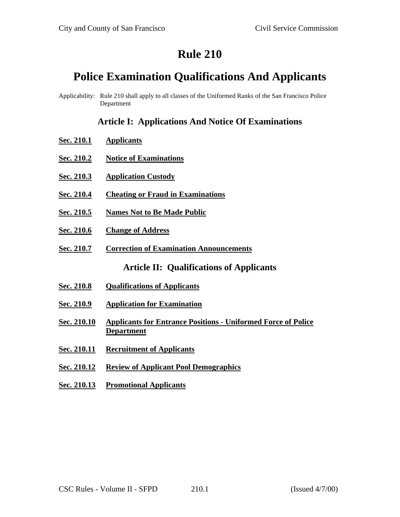# **Rule 210**

# **Police Examination Qualifications And Applicants**

Applicability: Rule 210 shall apply to all classes of the Uniformed Ranks of the San Francisco Police Department

### **Article I: Applications And Notice Of Examinations**

- **Sec. 210.1 Applicants**
- **Sec. 210.2 Notice of Examinations**
- **Sec. 210.3 Application Custody**
- **Sec. 210.4 Cheating or Fraud in Examinations**
- **Sec. 210.5 Names Not to Be Made Public**
- **Sec. 210.6 Change of Address**
- **Sec. 210.7 Correction of Examination Announcements**

**Article II: Qualifications of Applicants**

- **Sec. 210.8 Qualifications of Applicants**
- **Sec. 210.9 Application for Examination**
- **Sec. 210.10 Applicants for Entrance Positions - Uniformed Force of Police Department**
- **Sec. 210.11 Recruitment of Applicants**
- **Sec. 210.12 Review of Applicant Pool Demographics**
- **Sec. 210.13 Promotional Applicants**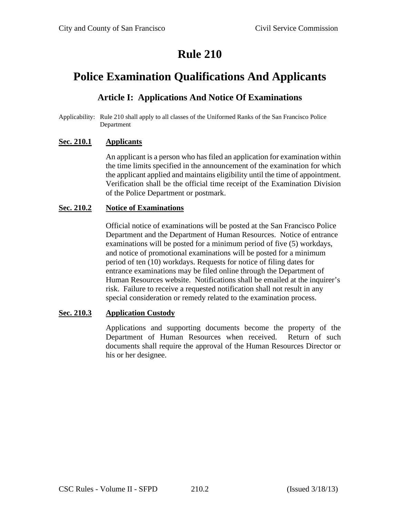# **Rule 210**

# **Police Examination Qualifications And Applicants**

### **Article I: Applications And Notice Of Examinations**

Applicability: Rule 210 shall apply to all classes of the Uniformed Ranks of the San Francisco Police Department

### **Sec. 210.1 Applicants**

An applicant is a person who has filed an application for examination within the time limits specified in the announcement of the examination for which the applicant applied and maintains eligibility until the time of appointment. Verification shall be the official time receipt of the Examination Division of the Police Department or postmark.

#### **Sec. 210.2 Notice of Examinations**

Official notice of examinations will be posted at the San Francisco Police Department and the Department of Human Resources. Notice of entrance examinations will be posted for a minimum period of five (5) workdays, and notice of promotional examinations will be posted for a minimum period of ten (10) workdays. Requests for notice of filing dates for entrance examinations may be filed online through the Department of Human Resources website. Notifications shall be emailed at the inquirer's risk. Failure to receive a requested notification shall not result in any special consideration or remedy related to the examination process.

#### **Sec. 210.3 Application Custody**

Applications and supporting documents become the property of the Department of Human Resources when received. Return of such documents shall require the approval of the Human Resources Director or his or her designee.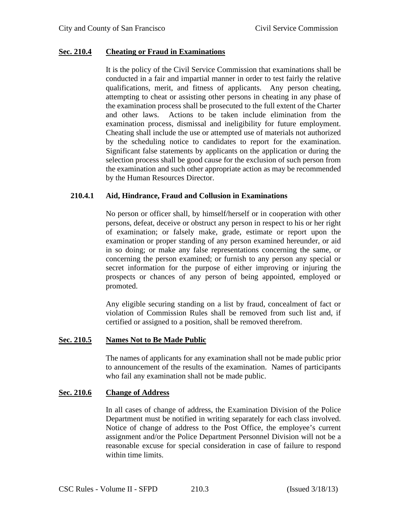#### **Sec. 210.4 Cheating or Fraud in Examinations**

It is the policy of the Civil Service Commission that examinations shall be conducted in a fair and impartial manner in order to test fairly the relative qualifications, merit, and fitness of applicants. Any person cheating, attempting to cheat or assisting other persons in cheating in any phase of the examination process shall be prosecuted to the full extent of the Charter and other laws. Actions to be taken include elimination from the examination process, dismissal and ineligibility for future employment. Cheating shall include the use or attempted use of materials not authorized by the scheduling notice to candidates to report for the examination. Significant false statements by applicants on the application or during the selection process shall be good cause for the exclusion of such person from the examination and such other appropriate action as may be recommended by the Human Resources Director.

#### **210.4.1 Aid, Hindrance, Fraud and Collusion in Examinations**

No person or officer shall, by himself/herself or in cooperation with other persons, defeat, deceive or obstruct any person in respect to his or her right of examination; or falsely make, grade, estimate or report upon the examination or proper standing of any person examined hereunder, or aid in so doing; or make any false representations concerning the same, or concerning the person examined; or furnish to any person any special or secret information for the purpose of either improving or injuring the prospects or chances of any person of being appointed, employed or promoted.

Any eligible securing standing on a list by fraud, concealment of fact or violation of Commission Rules shall be removed from such list and, if certified or assigned to a position, shall be removed therefrom.

### **Sec. 210.5 Names Not to Be Made Public**

The names of applicants for any examination shall not be made public prior to announcement of the results of the examination. Names of participants who fail any examination shall not be made public.

#### **Sec. 210.6 Change of Address**

In all cases of change of address, the Examination Division of the Police Department must be notified in writing separately for each class involved. Notice of change of address to the Post Office, the employee's current assignment and/or the Police Department Personnel Division will not be a reasonable excuse for special consideration in case of failure to respond within time limits.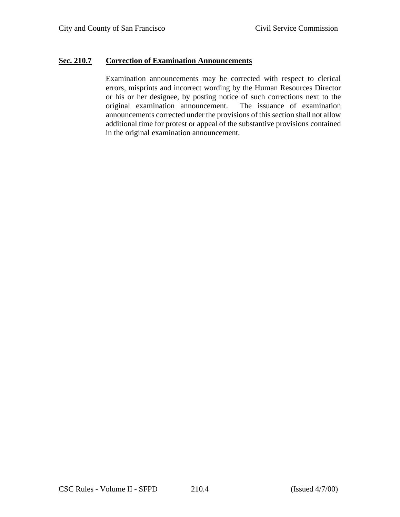#### **Sec. 210.7 Correction of Examination Announcements**

Examination announcements may be corrected with respect to clerical errors, misprints and incorrect wording by the Human Resources Director or his or her designee, by posting notice of such corrections next to the original examination announcement. The issuance of examination announcements corrected under the provisions of this section shall not allow additional time for protest or appeal of the substantive provisions contained in the original examination announcement.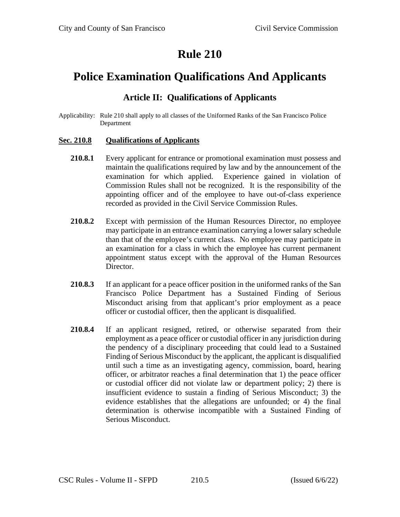# **Rule 210**

# **Police Examination Qualifications And Applicants**

### **Article II: Qualifications of Applicants**

Applicability: Rule 210 shall apply to all classes of the Uniformed Ranks of the San Francisco Police Department

#### **Sec. 210.8 Qualifications of Applicants**

- **210.8.1** Every applicant for entrance or promotional examination must possess and maintain the qualifications required by law and by the announcement of the examination for which applied. Experience gained in violation of Commission Rules shall not be recognized. It is the responsibility of the appointing officer and of the employee to have out-of-class experience recorded as provided in the Civil Service Commission Rules.
- **210.8.2** Except with permission of the Human Resources Director, no employee may participate in an entrance examination carrying a lower salary schedule than that of the employee's current class. No employee may participate in an examination for a class in which the employee has current permanent appointment status except with the approval of the Human Resources Director.
- **210.8.3** If an applicant for a peace officer position in the uniformed ranks of the San Francisco Police Department has a Sustained Finding of Serious Misconduct arising from that applicant's prior employment as a peace officer or custodial officer, then the applicant is disqualified.
- **210.8.4** If an applicant resigned, retired, or otherwise separated from their employment as a peace officer or custodial officer in any jurisdiction during the pendency of a disciplinary proceeding that could lead to a Sustained Finding of Serious Misconduct by the applicant, the applicant is disqualified until such a time as an investigating agency, commission, board, hearing officer, or arbitrator reaches a final determination that 1) the peace officer or custodial officer did not violate law or department policy; 2) there is insufficient evidence to sustain a finding of Serious Misconduct; 3) the evidence establishes that the allegations are unfounded; or 4) the final determination is otherwise incompatible with a Sustained Finding of Serious Misconduct.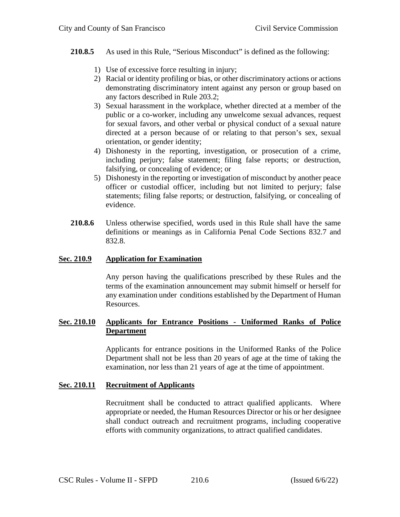#### **210.8.5** As used in this Rule, "Serious Misconduct" is defined as the following:

- 1) Use of excessive force resulting in injury;
- 2) Racial or identity profiling or bias, or other discriminatory actions or actions demonstrating discriminatory intent against any person or group based on any factors described in Rule 203.2;
- 3) Sexual harassment in the workplace, whether directed at a member of the public or a co-worker, including any unwelcome sexual advances, request for sexual favors, and other verbal or physical conduct of a sexual nature directed at a person because of or relating to that person's sex, sexual orientation, or gender identity;
- 4) Dishonesty in the reporting, investigation, or prosecution of a crime, including perjury; false statement; filing false reports; or destruction, falsifying, or concealing of evidence; or
- 5) Dishonesty in the reporting or investigation of misconduct by another peace officer or custodial officer, including but not limited to perjury; false statements; filing false reports; or destruction, falsifying, or concealing of evidence.
- **210.8.6** Unless otherwise specified, words used in this Rule shall have the same definitions or meanings as in California Penal Code Sections 832.7 and 832.8.

#### **Sec. 210.9 Application for Examination**

Any person having the qualifications prescribed by these Rules and the terms of the examination announcement may submit himself or herself for any examination under conditions established by the Department of Human Resources.

#### **Sec. 210.10 Applicants for Entrance Positions - Uniformed Ranks of Police Department**

Applicants for entrance positions in the Uniformed Ranks of the Police Department shall not be less than 20 years of age at the time of taking the examination, nor less than 21 years of age at the time of appointment.

#### **Sec. 210.11 Recruitment of Applicants**

Recruitment shall be conducted to attract qualified applicants. Where appropriate or needed, the Human Resources Director or his or her designee shall conduct outreach and recruitment programs, including cooperative efforts with community organizations, to attract qualified candidates.